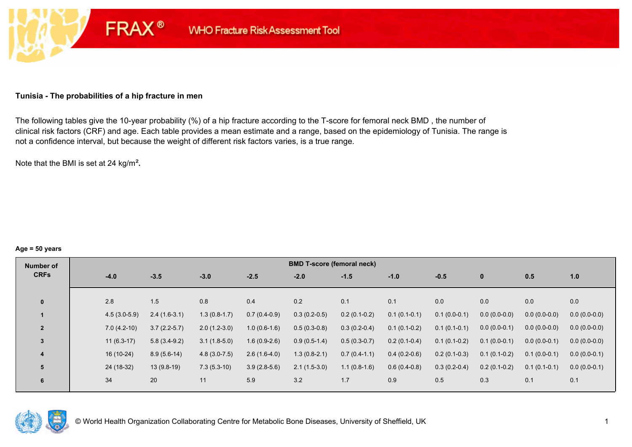### **Tunisia - The probabilities of a hip fracture in men**

**FRAX®** 

The following tables give the 10-year probability (%) of a hip fracture according to the T-score for femoral neck BMD , the number of clinical risk factors (CRF) and age. Each table provides a mean estimate and a range, based on the epidemiology of Tunisia. The range is not a confidence interval, but because the weight of different risk factors varies, is a true range.

Note that the BMI is set at 24 kg/m²**.** 

#### **Age = 50 years**

| Number of      |  |  |  |  |  |  |
|----------------|--|--|--|--|--|--|
| <b>CRFs</b>    |  |  |  |  |  |  |
|                |  |  |  |  |  |  |
| $\bf{0}$       |  |  |  |  |  |  |
|                |  |  |  |  |  |  |
| $\overline{2}$ |  |  |  |  |  |  |
| 3              |  |  |  |  |  |  |
| 4              |  |  |  |  |  |  |
| 5              |  |  |  |  |  |  |
| 6              |  |  |  |  |  |  |
|                |  |  |  |  |  |  |

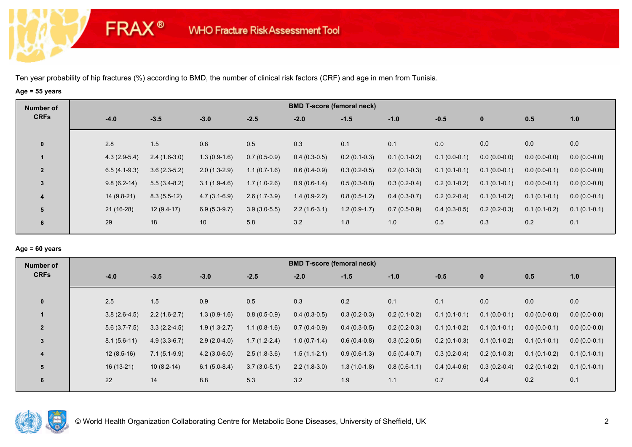**FRAX®** 

# **Age = 55 years**

| Number of      |             |                |                |                |                | <b>BMD T-score (femoral neck)</b> |                |                |                |                |                |                |
|----------------|-------------|----------------|----------------|----------------|----------------|-----------------------------------|----------------|----------------|----------------|----------------|----------------|----------------|
| <b>CRFs</b>    | $-4.0$      |                | $-3.5$         | $-3.0$         | $-2.5$         | $-2.0$                            | $-1.5$         | $-1.0$         | $-0.5$         | $\bf{0}$       | 0.5            | 1.0            |
| $\mathbf 0$    | 2.8         |                | 1.5            | 0.8            | 0.5            | 0.3                               | 0.1            | 0.1            | 0.0            | 0.0            | 0.0            | 0.0            |
|                |             | $4.3(2.9-5.4)$ | $2.4(1.6-3.0)$ | $1.3(0.9-1.6)$ | $0.7(0.5-0.9)$ | $0.4(0.3-0.5)$                    | $0.2(0.1-0.3)$ | $0.1(0.1-0.2)$ | $0.1(0.0-0.1)$ | $0.0(0.0-0.0)$ | $0.0(0.0-0.0)$ | $0.0(0.0-0.0)$ |
| $\overline{2}$ |             | $6.5(4.1-9.3)$ | $3.6(2.3-5.2)$ | $2.0(1.3-2.9)$ | $1.1(0.7-1.6)$ | $0.6(0.4-0.9)$                    | $0.3(0.2-0.5)$ | $0.2(0.1-0.3)$ | $0.1(0.1-0.1)$ | $0.1(0.0-0.1)$ | $0.0(0.0-0.1)$ | $0.0(0.0-0.0)$ |
| 3              |             | $9.8(6.2-14)$  | $5.5(3.4-8.2)$ | $3.1(1.9-4.6)$ | $1.7(1.0-2.6)$ | $0.9(0.6-1.4)$                    | $0.5(0.3-0.8)$ | $0.3(0.2-0.4)$ | $0.2(0.1-0.2)$ | $0.1(0.1-0.1)$ | $0.0(0.0-0.1)$ | $0.0(0.0-0.0)$ |
| 4              |             | $14(9.8-21)$   | $8.3(5.5-12)$  | $4.7(3.1-6.9)$ | $2.6(1.7-3.9)$ | $1.4(0.9-2.2)$                    | $0.8(0.5-1.2)$ | $0.4(0.3-0.7)$ | $0.2(0.2-0.4)$ | $0.1(0.1-0.2)$ | $0.1(0.1-0.1)$ | $0.0(0.0-0.1)$ |
| 5              | $21(16-28)$ |                | $12(9.4-17)$   | $6.9(5.3-9.7)$ | $3.9(3.0-5.5)$ | $2.2(1.6-3.1)$                    | $1.2(0.9-1.7)$ | $0.7(0.5-0.9)$ | $0.4(0.3-0.5)$ | $0.2(0.2-0.3)$ | $0.1(0.1-0.2)$ | $0.1(0.1-0.1)$ |
| 6              | 29          |                | 18             | 10             | 5.8            | 3.2                               | 1.8            | 1.0            | 0.5            | 0.3            | 0.2            | 0.1            |

# **Age = 60 years**

| Number of      |                |                |                |                | <b>BMD T-score (femoral neck)</b> |                |                |                |                |                |                |
|----------------|----------------|----------------|----------------|----------------|-----------------------------------|----------------|----------------|----------------|----------------|----------------|----------------|
| <b>CRFs</b>    | $-4.0$         | $-3.5$         | $-3.0$         | $-2.5$         | $-2.0$                            | $-1.5$         | $-1.0$         | $-0.5$         | $\mathbf 0$    | 0.5            | 1.0            |
|                |                |                |                |                |                                   |                |                |                |                |                |                |
| $\mathbf{0}$   | 2.5            | 1.5            | 0.9            | 0.5            | 0.3                               | 0.2            | 0.1            | 0.1            | 0.0            | 0.0            | 0.0            |
|                | $3.8(2.6-4.5)$ | $2.2(1.6-2.7)$ | $1.3(0.9-1.6)$ | $0.8(0.5-0.9)$ | $0.4(0.3-0.5)$                    | $0.3(0.2-0.3)$ | $0.2(0.1-0.2)$ | $0.1(0.1-0.1)$ | $0.1(0.0-0.1)$ | $0.0(0.0-0.0)$ | $0.0(0.0-0.0)$ |
| $\overline{2}$ | $5.6(3.7-7.5)$ | $3.3(2.2-4.5)$ | $1.9(1.3-2.7)$ | $1.1(0.8-1.6)$ | $0.7(0.4-0.9)$                    | $0.4(0.3-0.5)$ | $0.2(0.2-0.3)$ | $0.1(0.1-0.2)$ | $0.1(0.1-0.1)$ | $0.0(0.0-0.1)$ | $0.0(0.0-0.0)$ |
| 3              | $8.1(5.6-11)$  | $4.9(3.3-6.7)$ | $2.9(2.0-4.0)$ | $1.7(1.2-2.4)$ | $1.0(0.7-1.4)$                    | $0.6(0.4-0.8)$ | $0.3(0.2-0.5)$ | $0.2(0.1-0.3)$ | $0.1(0.1-0.2)$ | $0.1(0.1-0.1)$ | $0.0(0.0-0.1)$ |
| $\overline{4}$ | $12(8.5-16)$   | $7.1(5.1-9.9)$ | $4.2(3.0-6.0)$ | $2.5(1.8-3.6)$ | $1.5(1.1-2.1)$                    | $0.9(0.6-1.3)$ | $0.5(0.4-0.7)$ | $0.3(0.2-0.4)$ | $0.2(0.1-0.3)$ | $0.1(0.1-0.2)$ | $0.1(0.1-0.1)$ |
| 5              | 16 (13-21)     | $10(8.2-14)$   | $6.1(5.0-8.4)$ | $3.7(3.0-5.1)$ | $2.2(1.8-3.0)$                    | $1.3(1.0-1.8)$ | $0.8(0.6-1.1)$ | $0.4(0.4-0.6)$ | $0.3(0.2-0.4)$ | $0.2(0.1-0.2)$ | $0.1(0.1-0.1)$ |
| 6              | 22             | 14             | 8.8            | 5.3            | 3.2                               | 1.9            | 1.1            | 0.7            | 0.4            | 0.2            | 0.1            |
|                |                |                |                |                |                                   |                |                |                |                |                |                |

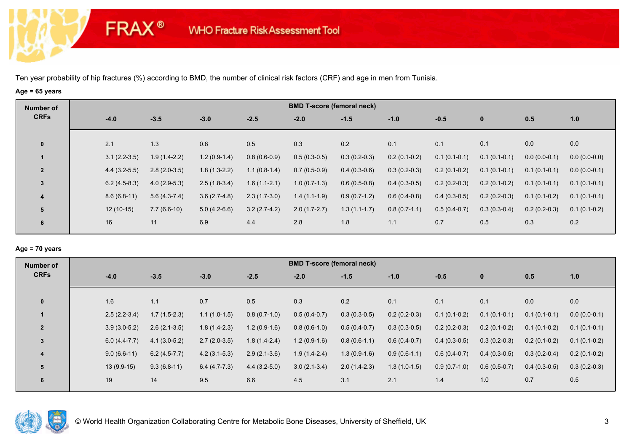**FRAX®** 

# **Age = 65 years**

| Number of      |        |                |                |                |                | <b>BMD T-score (femoral neck)</b> |                |                |                |                |                |                |
|----------------|--------|----------------|----------------|----------------|----------------|-----------------------------------|----------------|----------------|----------------|----------------|----------------|----------------|
| <b>CRFs</b>    | $-4.0$ |                | $-3.5$         | $-3.0$         | $-2.5$         | $-2.0$                            | $-1.5$         | $-1.0$         | $-0.5$         | $\mathbf{0}$   | 0.5            | 1.0            |
| $\mathbf 0$    | 2.1    |                | 1.3            | 0.8            | 0.5            | 0.3                               | 0.2            | 0.1            | 0.1            | 0.1            | 0.0            | 0.0            |
|                |        | $3.1(2.2-3.5)$ | $1.9(1.4-2.2)$ | $1.2(0.9-1.4)$ | $0.8(0.6-0.9)$ | $0.5(0.3-0.5)$                    | $0.3(0.2-0.3)$ | $0.2(0.1-0.2)$ | $0.1(0.1-0.1)$ | $0.1(0.1-0.1)$ | $0.0(0.0-0.1)$ | $0.0(0.0-0.0)$ |
| $\overline{2}$ |        | $4.4(3.2-5.5)$ | $2.8(2.0-3.5)$ | $1.8(1.3-2.2)$ | $1.1(0.8-1.4)$ | $0.7(0.5-0.9)$                    | $0.4(0.3-0.6)$ | $0.3(0.2-0.3)$ | $0.2(0.1-0.2)$ | $0.1(0.1-0.1)$ | $0.1(0.1-0.1)$ | $0.0(0.0-0.1)$ |
| $\mathbf{3}$   |        | $6.2(4.5-8.3)$ | $4.0(2.9-5.3)$ | $2.5(1.8-3.4)$ | $1.6(1.1-2.1)$ | $1.0(0.7-1.3)$                    | $0.6(0.5-0.8)$ | $0.4(0.3-0.5)$ | $0.2(0.2-0.3)$ | $0.2(0.1-0.2)$ | $0.1(0.1-0.1)$ | $0.1(0.1-0.1)$ |
| 4              |        | $8.6(6.8-11)$  | $5.6(4.3-7.4)$ | $3.6(2.7-4.8)$ | $2.3(1.7-3.0)$ | $1.4(1.1-1.9)$                    | $0.9(0.7-1.2)$ | $0.6(0.4-0.8)$ | $0.4(0.3-0.5)$ | $0.2(0.2-0.3)$ | $0.1(0.1-0.2)$ | $0.1(0.1-0.1)$ |
| 5              |        | $12(10-15)$    | $7.7(6.6-10)$  | $5.0(4.2-6.6)$ | $3.2(2.7-4.2)$ | $2.0(1.7-2.7)$                    | $1.3(1.1-1.7)$ | $0.8(0.7-1.1)$ | $0.5(0.4-0.7)$ | $0.3(0.3-0.4)$ | $0.2(0.2-0.3)$ | $0.1(0.1-0.2)$ |
| 6              | 16     |                | 11             | 6.9            | 4.4            | 2.8                               | 1.8            | 1.1            | 0.7            | 0.5            | 0.3            | 0.2            |

### **Age = 70 years**

| Number of      |                |                |                |                | <b>BMD T-score (femoral neck)</b> |                |                |                |                |                |                |
|----------------|----------------|----------------|----------------|----------------|-----------------------------------|----------------|----------------|----------------|----------------|----------------|----------------|
| <b>CRFs</b>    | $-4.0$         | $-3.5$         | $-3.0$         | $-2.5$         | $-2.0$                            | $-1.5$         | $-1.0$         | $-0.5$         | $\mathbf 0$    | 0.5            | 1.0            |
|                |                |                |                |                |                                   |                |                |                |                |                |                |
| $\mathbf{0}$   | 1.6            | 1.1            | 0.7            | 0.5            | 0.3                               | 0.2            | 0.1            | 0.1            | 0.1            | 0.0            | 0.0            |
|                | $2.5(2.2-3.4)$ | $1.7(1.5-2.3)$ | $1.1(1.0-1.5)$ | $0.8(0.7-1.0)$ | $0.5(0.4-0.7)$                    | $0.3(0.3-0.5)$ | $0.2(0.2-0.3)$ | $0.1(0.1-0.2)$ | $0.1(0.1-0.1)$ | $0.1(0.1-0.1)$ | $0.0(0.0-0.1)$ |
| $\overline{2}$ | $3.9(3.0-5.2)$ | $2.6(2.1-3.5)$ | $1.8(1.4-2.3)$ | $1.2(0.9-1.6)$ | $0.8(0.6-1.0)$                    | $0.5(0.4-0.7)$ | $0.3(0.3-0.5)$ | $0.2(0.2-0.3)$ | $0.2(0.1-0.2)$ | $0.1(0.1-0.2)$ | $0.1(0.1-0.1)$ |
| $\overline{3}$ | $6.0(4.4-7.7)$ | $4.1(3.0-5.2)$ | $2.7(2.0-3.5)$ | $1.8(1.4-2.4)$ | $1.2(0.9-1.6)$                    | $0.8(0.6-1.1)$ | $0.6(0.4-0.7)$ | $0.4(0.3-0.5)$ | $0.3(0.2-0.3)$ | $0.2(0.1-0.2)$ | $0.1(0.1-0.2)$ |
| 4              | $9.0(6.6-11)$  | $6.2(4.5-7.7)$ | $4.2(3.1-5.3)$ | $2.9(2.1-3.6)$ | $1.9(1.4-2.4)$                    | $1.3(0.9-1.6)$ | $0.9(0.6-1.1)$ | $0.6(0.4-0.7)$ | $0.4(0.3-0.5)$ | $0.3(0.2-0.4)$ | $0.2(0.1-0.2)$ |
| 5              | $13(9.9-15)$   | $9.3(6.8-11)$  | $6.4(4.7-7.3)$ | $4.4(3.2-5.0)$ | $3.0(2.1-3.4)$                    | $2.0(1.4-2.3)$ | $1.3(1.0-1.5)$ | $0.9(0.7-1.0)$ | $0.6(0.5-0.7)$ | $0.4(0.3-0.5)$ | $0.3(0.2-0.3)$ |
| 6              | 19             | 14             | 9.5            | 6.6            | 4.5                               | 3.1            | 2.1            | 1.4            | 1.0            | 0.7            | 0.5            |

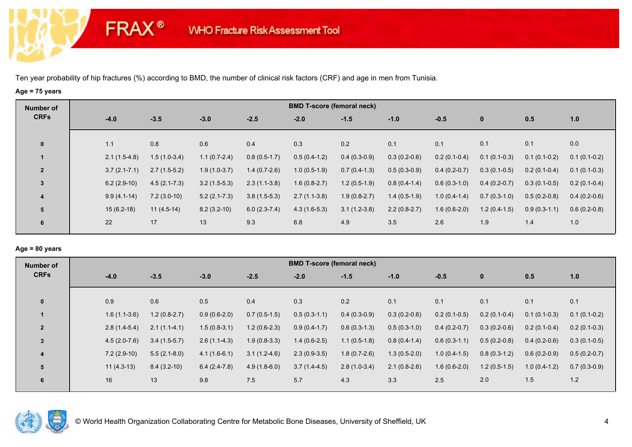**FRAX®** 

# **Age = 75 years**

| Number of               |                  |                  |                |                | <b>BMD T-score (femoral neck)</b> |                |                |                |                |                |                |
|-------------------------|------------------|------------------|----------------|----------------|-----------------------------------|----------------|----------------|----------------|----------------|----------------|----------------|
| <b>CRFs</b>             | $-4.0$           | $-3.5$           | $-3.0$         | $-2.5$         | $-2.0$                            | $-1.5$         | $-1.0$         | $-0.5$         | $\mathbf{0}$   | 0.5            | 1.0            |
| $\mathbf 0$             | 1.1              | 0.8              | 0.6            | 0.4            | 0.3                               | 0.2            | 0.1            | 0.1            | 0.1            | 0.1            | 0.0            |
| $\mathbf{1}$            | $2.1(1.5-4.8)$   | $1.5(1.0-3.4)$   | $1.1(0.7-2.4)$ | $0.8(0.5-1.7)$ | $0.5(0.4-1.2)$                    | $0.4(0.3-0.9)$ | $0.3(0.2-0.6)$ | $0.2(0.1-0.4)$ | $0.1(0.1-0.3)$ | $0.1(0.1-0.2)$ | $0.1(0.1-0.2)$ |
| $\overline{2}$          | $3.7(2.1 - 7.1)$ | $2.7(1.5-5.2)$   | $1.9(1.0-3.7)$ | $1.4(0.7-2.6)$ | $1.0(0.5-1.9)$                    | $0.7(0.4-1.3)$ | $0.5(0.3-0.9)$ | $0.4(0.2-0.7)$ | $0.3(0.1-0.5)$ | $0.2(0.1-0.4)$ | $0.1(0.1-0.3)$ |
| $\mathbf{3}$            | $6.2(2.9-10)$    | $4.5(2.1 - 7.3)$ | $3.2(1.5-5.3)$ | $2.3(1.1-3.8)$ | $1.6(0.8-2.7)$                    | $1.2(0.5-1.9)$ | $0.8(0.4-1.4)$ | $0.6(0.3-1.0)$ | $0.4(0.2-0.7)$ | $0.3(0.1-0.5)$ | $0.2(0.1-0.4)$ |
| $\overline{\mathbf{4}}$ | $9.9(4.1-14)$    | $7.2(3.0-10)$    | $5.2(2.1-7.3)$ | $3.8(1.5-5.3)$ | $2.7(1.1-3.8)$                    | $1.9(0.8-2.7)$ | $1.4(0.5-1.9)$ | $1.0(0.4-1.4)$ | $0.7(0.3-1.0)$ | $0.5(0.2-0.8)$ | $0.4(0.2-0.6)$ |
| 5                       | $15(6.2-18)$     | $11(4.5-14)$     | $8.2(3.2-10)$  | $6.0(2.3-7.4)$ | $4.3(1.6-5.3)$                    | $3.1(1.2-3.8)$ | $2.2(0.8-2.7)$ | $1.6(0.6-2.0)$ | $1.2(0.4-1.5)$ | $0.9(0.3-1.1)$ | $0.6(0.2-0.8)$ |
| 6                       | 22               | 17               | 13             | 9.3            | 6.8                               | 4.9            | 3.5            | 2.6            | 1.9            | 1.4            | 1.0            |

# **Age = 80 years**

| Number of      |                |                |                |                | <b>BMD T-score (femoral neck)</b> |                |                |                |                |                |                |
|----------------|----------------|----------------|----------------|----------------|-----------------------------------|----------------|----------------|----------------|----------------|----------------|----------------|
| <b>CRFs</b>    | $-4.0$         | $-3.5$         | $-3.0$         | $-2.5$         | $-2.0$                            | $-1.5$         | $-1.0$         | $-0.5$         | $\mathbf{0}$   | 0.5            | 1.0            |
|                |                |                |                |                |                                   |                |                |                |                |                |                |
| $\mathbf{0}$   | 0.9            | 0.6            | 0.5            | 0.4            | 0.3                               | 0.2            | 0.1            | 0.1            | 0.1            | 0.1            | 0.1            |
|                | $1.6(1.1-3.6)$ | $1.2(0.8-2.7)$ | $0.9(0.6-2.0)$ | $0.7(0.5-1.5)$ | $0.5(0.3-1.1)$                    | $0.4(0.3-0.9)$ | $0.3(0.2-0.6)$ | $0.2(0.1-0.5)$ | $0.2(0.1-0.4)$ | $0.1(0.1-0.3)$ | $0.1(0.1-0.2)$ |
| $\overline{2}$ | $2.8(1.4-5.4)$ | $2.1(1.1-4.1)$ | $1.5(0.8-3.1)$ | $1.2(0.6-2.3)$ | $0.9(0.4-1.7)$                    | $0.6(0.3-1.3)$ | $0.5(0.3-1.0)$ | $0.4(0.2-0.7)$ | $0.3(0.2-0.6)$ | $0.2(0.1-0.4)$ | $0.2(0.1-0.3)$ |
| $\overline{3}$ | $4.5(2.0-7.6)$ | $3.4(1.5-5.7)$ | $2.6(1.1-4.3)$ | $1.9(0.8-3.3)$ | $1.4(0.6-2.5)$                    | $1.1(0.5-1.8)$ | $0.8(0.4-1.4)$ | $0.6(0.3-1.1)$ | $0.5(0.2-0.8)$ | $0.4(0.2-0.6)$ | $0.3(0.1-0.5)$ |
| 4              | $7.2(2.9-10)$  | $5.5(2.1-8.0)$ | $4.1(1.6-6.1)$ | $3.1(1.2-4.6)$ | $2.3(0.9-3.5)$                    | $1.8(0.7-2.6)$ | $1.3(0.5-2.0)$ | $1.0(0.4-1.5)$ | $0.8(0.3-1.2)$ | $0.6(0.2-0.9)$ | $0.5(0.2-0.7)$ |
| 5              | $11(4.3-13)$   | $8.4(3.2-10)$  | $6.4(2.4-7.8)$ | $4.9(1.8-6.0)$ | $3.7(1.4-4.5)$                    | $2.8(1.0-3.4)$ | $2.1(0.8-2.6)$ | $1.6(0.6-2.0)$ | $1.2(0.5-1.5)$ | $1.0(0.4-1.2)$ | $0.7(0.3-0.9)$ |
| 6              | 16             | 13             | 9.8            | 7.5            | 5.7                               | 4.3            | 3.3            | 2.5            | 2.0            | 1.5            | 1.2            |
|                |                |                |                |                |                                   |                |                |                |                |                |                |